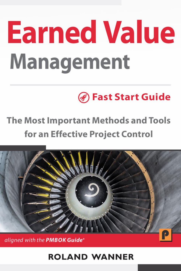# **Earned Value Management**

# **Bast Start Guide**

# **The Most Important Methods and Tools** for an Effective Project Control



aligned with the PMBOK Guide®

# **ROLAND WANNER**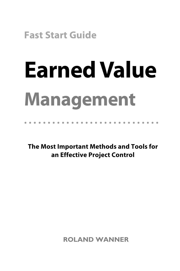**Fast Start Guide**

# **Earned Value Management**

•••••••••••••••••••••••••••••

**The Most Important Methods and Tools for an Effective Project Control**

**ROLAND WANNER**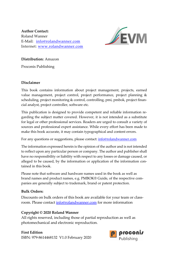**Author Contact:** Roland Wanner E‐Mail: info@rolandwanner.com Internet: www.rolandwanner.com



**Distribution:** Amazon

Proconis Publishing

#### **Disclaimer**

This book contains information about project management, projects, earned value management, project control, project performance, project planning & scheduling, project monitoring & control, controlling, pmi, pmbok, project financial analyst, project controller, software etc.

This publication is designed to provide competent and reliable information re‐ garding the subject matter covered. However, it is not intended as a substitute for legal or other professional services. Readers are urged to consult a variety of sources and professional expert assistance. While every effort has been made to make this book accurate, it may contain typographical and content errors.

For any questions or suggestions, please contact: info@rolandwanner.com

The information expressed herein is the opinion of the author and is not intended to reflect upon any particular person or company. The author and publisher shall have no responsibility or liability with respect to any losses or damage caused, or alleged to be caused, by the information or application of the information contained in this book.

Please note that software and hardware names used in the book as well as brand names and product names, e.g. PMBOK® Guide, of the respective com‐ panies are generally subject to trademark, brand or patent protection.

#### **Bulk Orders:**

Discounts on bulk orders of this book are available for your team or classroom. Please contact info@rolandwanner.com for more information

#### **Copyright © 2020 Roland Wanner**

All rights reserved, including those of partial reproduction as well as photomechanical and electronic reproduction.

### **First Edition**

ISBN: 979‐8614468132 V1.0 February 2020

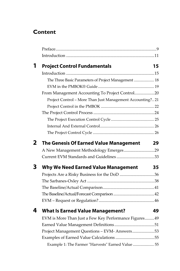### **Content**

| 1 | <b>Project Control Fundamentals</b>                        | 15 |
|---|------------------------------------------------------------|----|
|   |                                                            |    |
|   | The Three Basic Parameters of Project Management  18       |    |
|   |                                                            |    |
|   | From Management Accounting To Project Control20            |    |
|   | Project Control - More Than Just Management Accounting? 21 |    |
|   |                                                            |    |
|   |                                                            |    |
|   |                                                            |    |
|   |                                                            |    |
|   |                                                            |    |
| 2 | <b>The Genesis Of Earned Value Management</b>              | 29 |
|   | A New Management Methodology Emerges29                     |    |
|   |                                                            |    |
| 3 | <b>Why We Need Earned Value Management</b>                 | 35 |
|   | Projects Are a Risky Business for the DoD 36               |    |
|   |                                                            |    |
|   |                                                            |    |
|   |                                                            |    |
|   |                                                            |    |
| 4 | <b>What Is Earned Value Management?</b>                    | 49 |
|   | EVM is More Than Just a Few Key Performance Figures 49     |    |
|   |                                                            |    |
|   | Project Management Questions - EVM- Answers53              |    |
|   |                                                            |    |
|   | Example 1: The Farmer "Harvests" Earned Value  55          |    |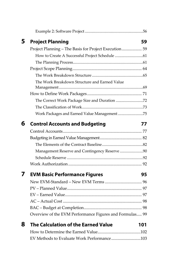| 5 | <b>Project Planning</b>                                 | 59  |
|---|---------------------------------------------------------|-----|
|   | Project Planning - The Basis for Project Execution 59   |     |
|   |                                                         |     |
|   |                                                         |     |
|   |                                                         |     |
|   |                                                         |     |
|   | The Work Breakdown Structure and Earned Value           |     |
|   |                                                         |     |
|   |                                                         |     |
|   |                                                         |     |
|   | Work Packages and Earned Value Management 75            |     |
| 6 | <b>Control Accounts and Budgeting</b>                   | 77  |
|   |                                                         |     |
|   |                                                         |     |
|   |                                                         |     |
|   | Management Reserve and Contingency Reserve 90           |     |
|   |                                                         |     |
|   |                                                         |     |
| 7 | <b>EVM Basic Performance Figures</b>                    | 95  |
|   |                                                         |     |
|   |                                                         |     |
|   |                                                         |     |
|   |                                                         |     |
|   |                                                         |     |
|   | Overview of the EVM Performance Figures and Formulas 99 |     |
| 8 | The Calculation of the Earned Value                     | 101 |
|   |                                                         |     |
|   | EV Methods to Evaluate Work Performance103              |     |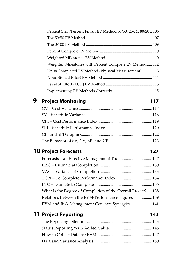| Percent Start/Percent Finish EV Method 50/50, 25/75, 80/20106 |  |
|---------------------------------------------------------------|--|
|                                                               |  |
|                                                               |  |
|                                                               |  |
|                                                               |  |
| Weighted Milestones with Percent Complete EV Method 112       |  |
| Units Completed EV Method (Physical Measurement) 113          |  |
|                                                               |  |
|                                                               |  |
|                                                               |  |

# **9** Project Monitoring

| ۰. |
|----|
|----|

### **10** Project Forecasts **127**

| Forecasts - an Effective Management Tool127                 |  |
|-------------------------------------------------------------|--|
|                                                             |  |
|                                                             |  |
|                                                             |  |
|                                                             |  |
| What Is the Degree of Completion of the Overall Project?138 |  |
| Relations Between the EVM-Performance Figures139            |  |
| EVM and Risk Management Generate Synergies141               |  |

# **11 Project Reporting 143**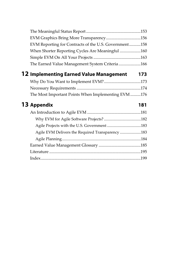| EVM Graphics Bring More Transparency156               |     |
|-------------------------------------------------------|-----|
| EVM Reporting for Contracts of the U.S. Government158 |     |
| When Shorter Reporting Cycles Are Meaningful 160      |     |
|                                                       |     |
| The Earned Value Management System Criteria166        |     |
| <b>12 Implementing Earned Value Management</b>        | 173 |
|                                                       |     |
|                                                       |     |
| The Most Important Points When Implementing EVM176    |     |
|                                                       |     |
| 13 Appendix                                           | 181 |
|                                                       |     |
|                                                       |     |
| Agile Projects with the U.S. Government 183           |     |
|                                                       |     |
| Agile EVM Delivers the Required Transparency 183      |     |
|                                                       |     |
|                                                       |     |
|                                                       |     |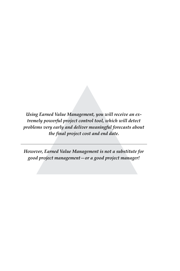*Using Earned Value Management, you will receive an extremely powerful project control tool, which will detect problems very early and deliver meaningful forecasts about the final project cost and end date.* 

*However, Earned Value Management is not a substitute for good project management—or a good project manager!*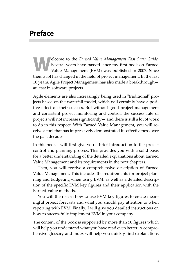# **Preface**

elcome to the *Earned Value Management Fast Start Guide*. Several years have passed since my first book on Earned Value Management (EVM) was published in 2007. Since then, a lot has changed in the field of project management. In the last 10 years, Agile Project Management has also made a breakthrough at least in software projects. **W** Se Va

Agile elements are also increasingly being used in "traditional" projects based on the waterfall model, which will certainly have a positive effect on their success. But without good project management and consistent project monitoring and control, the success rate of projects will not increase significantly— and there is still a lot of work to do in this respect. With Earned Value Management, you will re‐ ceive a tool that has impressively demonstrated its effectiveness over the past decades.

In this book I will first give you a brief introduction to the project control and planning process. This provides you with a solid basis for a better understanding of the detailed explanations about Earned Value Management and its requirements in the next chapters.

Then, you will receive a comprehensive description of Earned Value Management. This includes the requirements for project plan‐ ning and budgeting when using EVM, as well as a detailed descrip‐ tion of the specific EVM key figures and their application with the Earned Value methods.

You will then learn how to use EVM key figures to create mean‐ ingful project forecasts and what you should pay attention to when reporting with EVM. Finally, I will give you detailed instructions on how to successfully implement EVM in your company.

The content of the book is supported by more than 50 figures which will help you understand what you have read even better. A comprehensive glossary and index will help you quickly find explanations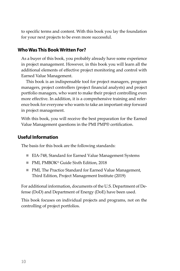to specific terms and content. With this book you lay the foundation for your next projects to be even more successful.

### **Who Was This Book Written For?**

As a buyer of this book, you probably already have some experience in project management. However, in this book you will learn all the additional elements of effective project monitoring and control with Earned Value Management.

This book is an indispensable tool for project managers, program managers, project controllers (project financial analysts) and project portfolio managers, who want to make their project controlling even more effective. In addition, it is a comprehensive training and refer‐ ence book for everyone who wants to take an important step forward in project management.

With this book, you will receive the best preparation for the Earned Value Management questions in the PMI PMP® certification.

### **Useful Information**

The basis for this book are the following standards:

- EIA-748, Standard for Earned Value Management Systems
- PMI, PMBOK<sup>®</sup> Guide Sixth Edition, 2018
- PMI, The Practice Standard for Earned Value Management, Third Edition, Project Management Institute (2019)

For additional information, documents of the U.S. Department of De‐ fense (DoD) and Department of Energy (DoE) have been used.

This book focuses on individual projects and programs, not on the controlling of project portfolios.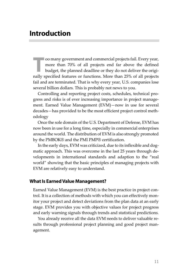# **Introduction**

oo many government and commercial projects fail. Every year, more than 70% of all projects end far above the defined budget, the planned deadline or they do not deliver the origioo many government and commercial projects fail. Every year, more than 70% of all projects end far above the defined budget, the planned deadline or they do not deliver the originally specified features or functions. More fail and are terminated. That is why every year, U.S. companies lose several billion dollars. This is probably not news to you.

Controlling and reporting project costs, schedules, technical pro‐ gress and risks is of ever increasing importance in project manage‐ ment. Earned Value Management (EVM)—now in use for several decades—has provided to be the most efficient project control meth‐ odology

Once the sole domain of the U.S. Department of Defense, EVM has now been in use for a long time, especially in commercial enterprises around the world. The distribution of EVM is also strongly promoted by the PMBOK® and the PMI PMP® certification.

In the early days, EVM was criticized, due to its inflexible and dog‐ matic approach. This was overcome in the last 25 years through de‐ velopments in international standards and adaption to the "real world" showing that the basic principles of managing projects with EVM are relatively easy to understand.

### **What Is Earned Value Management?**

Earned Value Management (EVM) is the best practice in project con‐ trol. It is a collection of methods with which you can effectively mon‐ itor your project and detect deviations from the plan data at an early stage. EVM provides you with objective values for project progress and early warning signals through trends and statistical predictions.

You already receive all the data EVM needs to deliver valuable re‐ sults through professional project planning and good project management.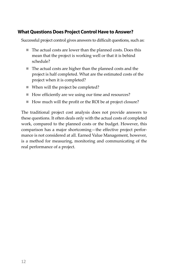### **What Questions Does Project Control Have to Answer?**

Successful project control gives answers to difficult questions, such as:

- The actual costs are lower than the planned costs. Does this mean that the project is working well or that it is behind schedule?
- The actual costs are higher than the planned costs and the project is half completed. What are the estimated costs of the project when it is completed?
- When will the project be completed?
- How efficiently are we using our time and resources?
- How much will the profit or the ROI be at project closure?

The traditional project cost analysis does not provide answers to these questions. It often deals only with the actual costs of completed work, compared to the planned costs or the budget. However, this comparison has a major shortcoming—the effective project perfor‐ mance is not considered at all. Earned Value Management, however, is a method for measuring, monitoring and communicating of the real performance of a project.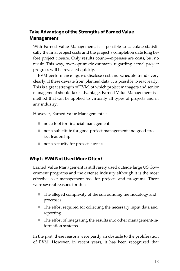### **Take Advantage of the Strengths of Earned Value Management**

With Earned Value Management, it is possible to calculate statistically the final project costs and the project´s completion date long be‐ fore project closure. Only results count—expenses are costs, but no result. This way, over‐optimistic estimates regarding actual project progress will be revealed quickly.

EVM performance figures disclose cost and schedule trends very clearly. If these deviate from planned data, it is possible to react early. This is a great strength of EVM, of which project managers and senior management should take advantage. Earned Value Management is a method that can be applied to virtually all types of projects and in any industry.

However, Earned Value Management is:

- not a tool for financial management
- not a substitute for good project management and good project leadership
- not a security for project success

### **Why Is EVM Not Used More Often?**

Earned Value Management is still rarely used outside large US Gov‐ ernment programs and the defense industry although it is the most effective cost management tool for projects and programs. There were several reasons for this:

- The alleged complexity of the surrounding methodology and processes
- The effort required for collecting the necessary input data and reporting
- The effort of integrating the results into other management-information systems

In the past, these reasons were partly an obstacle to the proliferation of EVM. However, in recent years, it has been recognized that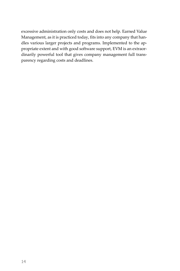excessive administration only costs and does not help. Earned Value Management, as it is practiced today, fits into any company that han‐ dles various larger projects and programs. Implemented to the ap‐ propriate extent and with good software support, EVM is an extraor‐ dinarily powerful tool that gives company management full trans‐ parency regarding costs and deadlines.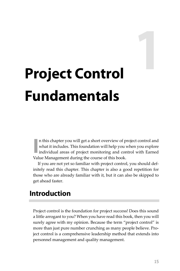# **Project Control Fundamentals**

n this chapter you will get a short overview of project control and what it includes. This foundation will help you when you explore individual areas of project monitoring and control with Earned Value Management during the course of this book. **I**

If you are not yet so familiar with project control, you should def‐ initely read this chapter. This chapter is also a good repetition for those who are already familiar with it, but it can also be skipped to get ahead faster.

# **Introduction**

Project control is the foundation for project success! Does this sound a little arrogant to you? When you have read this book, then you will surely agree with my opinion. Because the term "project control" is more than just pure number crunching as many people believe. Pro‐ ject control is a comprehensive leadership method that extends into personnel management and quality management.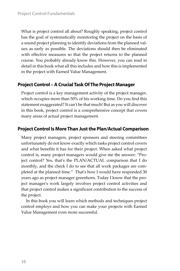What is project control all about? Roughly speaking, project control has the goal of systematically monitoring the project on the basis of a sound project planning to identify deviations from the planned val‐ ues as early as possible. The deviations should then be eliminated with effective measures so that the project returns to the planned course. You probably already know this. However, you can read in detail in this book what all this includes and how this is implemented in the project with Earned Value Management.

### **Project Control – A Crucial Task Of The Project Manager**

Project control is a key management activity of the project manager, which occupies more than 50% of his working time. Do you find this statement exaggerated? It canʹt be that much! But as you will discover in this book, project control is a comprehensive concept that covers many areas of actual project management.

### **Project Control Is More Than Just the Plan/Actual Comparison**

Many project managers, project sponsors and steering committees unfortunately do not know exactly which tasks project control covers and what benefits it has for their project. When asked what project control is, many project managers would give me the answer: "Pro‐ ject control? Yes, that's the PLAN/ACTUAL comparison that I do monthly, and the check I do to see that all work packages are completed at the planned time." That's how I would have responded 30 years ago as project manager greenhorn. Today I know that the pro‐ ject managerʹs work largely involves project control activities and that project control makes a significant contribution to the success of the project.

In this book you will learn which methods and techniques project control employs and how you can make your projects with Earned Value Management even more successful.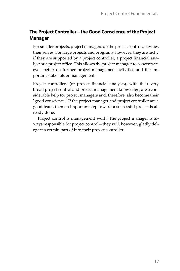### **The Project Controller – the Good Conscience of the Project Manager**

For smaller projects, project managers do the project control activities themselves. For large projects and programs, however, they are lucky if they are supported by a project controller, a project financial ana‐ lyst or a project office. This allows the project manager to concentrate even better on further project management activities and the im‐ portant stakeholder management.

Project controllers (or project financial analysts), with their very broad project control and project management knowledge, are a con‐ siderable help for project managers and, therefore, also become their "good conscience." If the project manager and project controller are a good team, then an important step toward a successful project is al‐ ready done.

Project control is management work! The project manager is al‐ ways responsible for project control—they will, however, gladly del‐ egate a certain part of it to their project controller.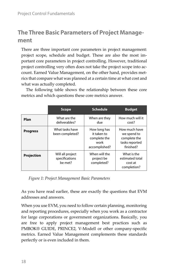# **The Three Basic Parameters of Project Management**

There are three important core parameters in project management: project scope, schedule and budget. These are also the most im‐ portant core parameters in project controlling. However, traditional project controlling very often does not take the project scope into account. Earned Value Management, on the other hand, provides met‐ rics that compare what was planned at a certain time at what cost and what was actually completed.

|                 | <b>Scope</b>                                  | <b>Schedule</b>                                                      | <b>Budget</b>                                                               |
|-----------------|-----------------------------------------------|----------------------------------------------------------------------|-----------------------------------------------------------------------------|
| Plan            | What are the<br>deliverables?                 | When are they<br>due                                                 | How much will it<br>cost?                                                   |
| <b>Progress</b> | What tasks have<br>been completed?            | How long has<br>it taken to<br>complete the<br>work<br>accomplished? | How much have<br>we spend to<br>complete the<br>tasks reported<br>finished? |
| Projection      | Will all project<br>specifications<br>be met? | When will the<br>project be<br>completed?                            | What is the<br>estimated total<br>cost at<br>completion?                    |

The following table shows the relationship between these core metrics and which questions these core metrics answer.

*Figure 1: Project Management Basic Parameters*

As you have read earlier, these are exactly the questions that EVM addresses and answers.

When you use EVM, you need to follow certain planning, monitoring and reporting procedures, especially when you work as a contractor for large corporations or government organizations. Basically, you are free to apply project management best practices such as PMBOK® GUIDE, PRINCE2, V‐Modell or other company‐specific metrics. Earned Value Management complements these standards perfectly or is even included in them.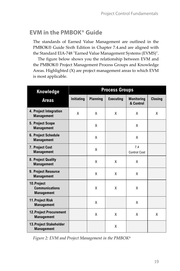# **EVM in the PMBOK® Guide**

The standards of Earned Value Management are outlined in the PMBOK® Guide Sixth Edition in Chapter 7.4.and are aligned with the Standard EIA-748 "Earned Value Management Systems (EVMS)".

The figure below shows you the relationship between EVM and the PMBOK® Project Management Process Groups and Knowledge Areas. Highlighted (X) are project management areas to which EVM is most applicable.

| Knowledge                                                | <b>Process Groups</b> |                 |                  |                                |                |
|----------------------------------------------------------|-----------------------|-----------------|------------------|--------------------------------|----------------|
| <b>Areas</b>                                             | <b>Initiating</b>     | <b>Planning</b> | <b>Executing</b> | <b>Monitoring</b><br>& Control | <b>Closing</b> |
| 4. Project Integration<br><b>Management</b>              | X                     | X               | X                | X                              | X              |
| 5. Project Scope<br><b>Management</b>                    |                       | X               |                  | X                              |                |
| 6. Project Schedule<br><b>Management</b>                 |                       | X               |                  | X                              |                |
| 7. Project Cost<br><b>Management</b>                     |                       | X               |                  | 7.4<br><b>Control Cost</b>     |                |
| 8. Project Quality<br><b>Management</b>                  |                       | X               | X                | Χ                              |                |
| 9. Project Resource<br><b>Management</b>                 |                       | X               | X                | X                              |                |
| 10.Project<br><b>Communications</b><br><b>Management</b> |                       | Χ               | X                | Χ                              |                |
| 11. Project Risk<br><b>Management</b>                    |                       | X               |                  | X                              |                |
| <b>12. Project Procurement</b><br><b>Management</b>      |                       | X               | X                | X                              | X              |
| 13. Project Stakeholder<br><b>Management</b>             |                       |                 | X                |                                |                |

*Figure 2: EVM and Project Management in the PMBOK®*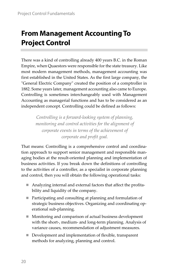# **From Management Accounting To Project Control**

There was a kind of controlling already 400 years B.C. in the Roman Empire, when Quaestors were responsible for the state treasury. Like most modern management methods, management accounting was first established in the United States. As the first large company, the "General Electric Company" created the position of a comptroller in 1882. Some years later, management accounting also came to Europe. Controlling is sometimes interchangeably used with Management Accounting as managerial functions and has to be considered as an independent concept. Controlling could be defined as follows:

> *Controlling is a forward‐looking system of planning, monitoring and control activities for the alignment of corporate events in terms of the achievement of corporate and profit goal.*

That means: Controlling is a comprehensive control and coordina‐ tion approach to support senior management and responsible man‐ aging bodies at the result‐oriented planning and implementation of business activities. If you break down the definitions of controlling to the activities of a controller, as a specialist in corporate planning and control, then you will obtain the following operational tasks:

- Analyzing internal and external factors that affect the profitability and liquidity of the company.
- Participating and consulting at planning and formulation of strategic business objectives. Organizing and coordinating operational sub‐planning.
- **Monitoring and comparison of actual business development** with the short‐, medium‐ and long‐term planning. Analysis of variance causes, recommendation of adjustment measures.
- Development and implementation of flexible, transparent methods for analyzing, planning and control.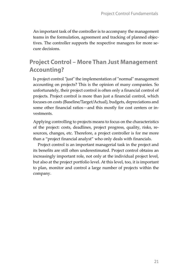An important task of the controller is to accompany the management teams in the formulation, agreement and tracking of planned objec‐ tives. The controller supports the respective managers for more secure decisions.

## **Project Control – More Than Just Management Accounting?**

Is project control "just" the implementation of "normal" management accounting on projects? This is the opinion of many companies. So unfortunately, their project control is often only a financial control of projects. Project control is more than just a financial control, which focuses on costs (Baseline/Target/Actual), budgets, depreciations and some other financial ratios—and this mostly for cost centers or investments.

Applying controlling to projects means to focus on the characteristics of the project: costs, deadlines, project progress, quality, risks, re‐ sources, changes, etc. Therefore, a project controller is for me more than a "project financial analyst" who only deals with financials.

Project control is an important managerial task in the project and its benefits are still often underestimated. Project control obtains an increasingly important role, not only at the individual project level, but also at the project portfolio level. At this level, too, it is important to plan, monitor and control a large number of projects within the company.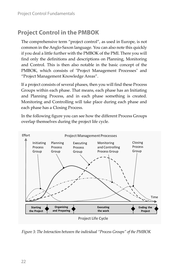# **Project Control in the PMBOK**

The comprehensive term "project control", as used in Europe, is not common in the Anglo‐Saxon language. You can also note this quickly if you deal a little further with the PMBOK of the PMI. There you will find only the definitions and descriptions on Planning, Monitoring and Control. This is then also notable in the basic concept of the PMBOK, which consists of "Project Management Processes" and "Project Management Knowledge Areas".

If a project consists of several phases, then you will find these Process Groups within each phase. That means, each phase has an Initiating and Planning Process, and in each phase something is created. Monitoring and Controlling will take place during each phase and each phase has a Closing Process.

In the following figure you can see how the different Process Groups overlap themselves during the project life cycle.



*Figure* 3: The Interaction between the individual "Process Groups" of the PMBOK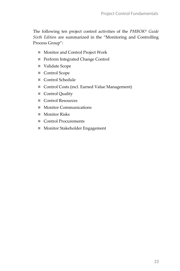The following ten project control activities of the *PMBOK® Guide Sixth Edition* are summarized in the "Monitoring and Controlling Process Group":

- Monitor and Control Project Work
- Perform Integrated Change Control
- Validate Scope
- Control Scope
- Control Schedule
- Control Costs (incl. Earned Value Management)
- Control Quality
- Control Resources
- **Monitor Communications**
- Monitor Risks
- Control Procurements
- **Monitor Stakeholder Engagement**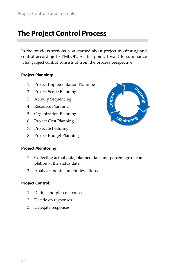# **The Project Control Process**

In the previous sections, you learned about project monitoring and control according to PMBOK. At this point, I want to summarize what project control consists of from the process perspective.

### **Project Planning:**

- 1. Project Implementation Planning
- 2. Project Scope Planning
- 3. Activity Sequencing
- 4. Resource Planning
- 5. Organization Planning
- 6. Project Cost Planning
- 7. Project Scheduling
- 8. Project Budget Planning

### **Project Monitoring:**

- 1. Collecting actual data, planned data and percentage of com‐ pletion at the status date
- 2. Analyze and document deviations

### **Project Control:**

- 1. Define and plan responses
- 2. Decide on responses
- 3. Delegate responses

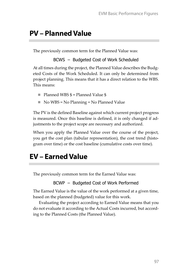# **PV – Planned Value**

The previously common term for the Planned Value was:

BCWS – Budgeted Cost of Work Scheduled

At all times during the project, the Planned Value describes the Budg‐ eted Costs of the Work Scheduled. It can only be determined from project planning. This means that it has a direct relation to the WBS. This means:

- Planned WBS  $$ =$  Planned Value  $$$
- $\blacksquare$  No WBS = No Planning = No Planned Value

The PV is the defined Baseline against which current project progress is measured. Once this baseline is defined, it is only changed if ad‐ justments to the project scope are necessary and authorized.

When you apply the Planned Value over the course of the project, you get the cost plan (tabular representation), the cost trend (histo‐ gram over time) or the cost baseline (cumulative costs over time).

# **EV – Earned Value**

The previously common term for the Earned Value was:

BCWP – Budgeted Cost of Work Performed

The Earned Value is the value of the work performed at a given time, based on the planned (budgeted) value for this work.

Evaluating the project according to Earned Value means that you do not evaluate it according to the Actual Costs incurred, but accord‐ ing to the Planned Costs (the Planned Value).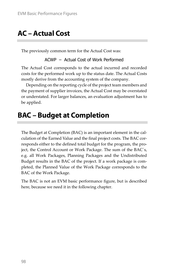# **AC – Actual Cost**

The previously common term for the Actual Cost was:

ACWP – Actual Cost of Work Performed

The Actual Cost corresponds to the actual incurred and recorded costs for the performed work up to the status date. The Actual Costs mostly derive from the accounting system of the company.

Depending on the reporting cycle of the project team members and the payment of supplier invoices, the Actual Cost may be overstated or understated. For larger balances, an evaluation adjustment has to be applied.

# **BAC – Budget at Completion**

The Budget at Completion (BAC) is an important element in the cal‐ culation of the Earned Value and the final project costs. The BAC corresponds either to the defined total budget for the program, the pro‐ ject, the Control Account or Work Package. The sum of the BAC´s, e.g. all Work Packages, Planning Packages and the Undistributed Budget results in the BAC of the project. If a work package is com‐ pleted, the Planned Value of the Work Package corresponds to the BAC of the Work Package.

The BAC is not an EVM basic performance figure, but is described here, because we need it in the following chapter.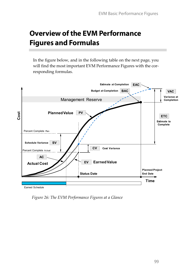# **Overview of the EVM Performance Figures and Formulas**

In the figure below, and in the following table on the next page, you will find the most important EVM Performance Figures with the corresponding formulas.



*Figure 26: The EVM Performance Figures at a Glance*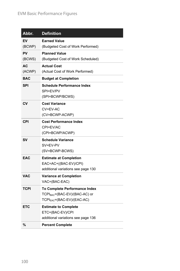| Abbr.        | <b>Definition</b>                                                                                                           |
|--------------|-----------------------------------------------------------------------------------------------------------------------------|
| EV<br>(BCWP) | <b>Earned Value</b><br>(Budgeted Cost of Work Performed)                                                                    |
| PV<br>(BCWS) | <b>Planned Value</b><br>(Budgeted Cost of Work Scheduled)                                                                   |
| АC<br>(ACWP) | <b>Actual Cost</b><br>(Actual Cost of Work Performed)                                                                       |
| <b>BAC</b>   | <b>Budget at Completion</b>                                                                                                 |
| SPI          | <b>Schedule Performance Index</b><br>SPI=EV/PV<br>(SPI=BCWP/BCWS)                                                           |
| CV           | <b>Cost Variance</b><br>CV=EV-AC<br>(CV=BCWP-ACWP)                                                                          |
| CPI          | <b>Cost Performance Index</b><br>CPI=EV/AC<br>(CPI=BCWP/ACWP)                                                               |
| SV           | <b>Schedule Variance</b><br>SV=EV-PV<br>(SV=BCWP-BCWS)                                                                      |
| <b>EAC</b>   | <b>Estimate at Completion</b><br>EAC=AC+((BAC-EV)/CPI)<br>additional variations see page 130                                |
| <b>VAC</b>   | <b>Variance at Completion</b><br>VAC=(BAC-EAC)                                                                              |
| TCPI         | <b>To Complete Performance Index</b><br>TCPI <sub>BAC</sub> =(BAC-EV)/(BAC-AC) or<br>TCPI <sub>EAC</sub> =(BAC-EV)/(EAC-AC) |
| <b>ETC</b>   | <b>Estimate to Complete</b><br>ETC=(BAC-EV)/CPI<br>additional variations see page 136                                       |
| %            | <b>Percent Complete</b>                                                                                                     |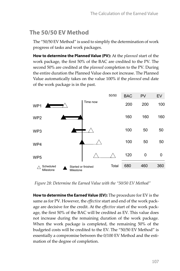# **The 50/50 EV Method**

The "50/50 EV Method" is used to simplify the determination of work progress of tasks and work packages.

**How to determine the Planned Value (PV):** At the *planned* start of the work package, the first 50% of the BAC are credited to the PV. The second 50% are credited at the *planned* completion to the PV. During the entire duration the Planned Value does not increase. The Planned Value automatically takes on the value 100% if the *planned* end date of the work package is in the past.



*Figure 28: Determine the Earned Value with the "50/50 EV Method"*

**How to determine the Earned Value (EV):** The procedure for EV is the same as for PV. However, the *effective* start and end of the work package are decisive for the credit. At the *effective* start of the work pack‐ age, the first 50% of the BAC will be credited as EV. This value does not increase during the remaining duration of the work package. When the work package is completed, the remaining 50% of the budgeted costs will be credited to the EV. The "50/50 EV Method" is essentially a compromise between the 0/100 EV Method and the estimation of the degree of completion.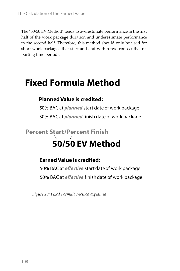The "50/50 EV Method" tends to overestimate performance in the first half of the work package duration and underestimate performance in the second half. Therefore, this method should only be used for short work packages that start and end within two consecutive reporting time periods.

# **Fixed Formula Method**

### **Planned Value is credited:**

50% BAC at **planned** start date of work package 50% BAC at **planned** finish date of work package

# **50/50 EV Method Percent Start/Percent Finish**

### **Earned Value is credited:**

50% BAC at **effective** start date of work package 50% BAC at **effective** finish date of work package

*Figure 29: Fixed Formula Method explained*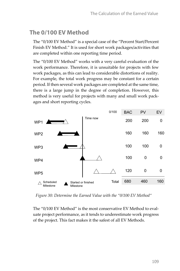# **The 0/100 EV Method**

The "0/100 EV Method" is a special case of the "Percent Start/Percent Finish EV Method." It is used for short work packages/activities that are completed within one reporting time period.

The "0/100 EV Method" works with a very careful evaluation of the work performance. Therefore, it is unsuitable for projects with few work packages, as this can lead to considerable distortions of reality. For example, the total work progress may be constant for a certain period. If then several work packages are completed at the same time, there is a large jump in the degree of completion. However, this method is very useful for projects with many and small work pack‐ ages and short reporting cycles.



*Figure 30: Determine the Earned Value with the "0/100 EV Method"*

The "0/100 EV Method" is the most conservative EV Method to eval‐ uate project performance, as it tends to underestimate work progress of the project. This fact makes it the safest of all EV Methods.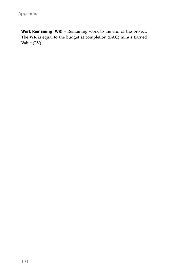**Work Remaining (WR)** – Remaining work to the end of the project. The WR is equal to the budget at completion (BAC) minus Earned Value (EV).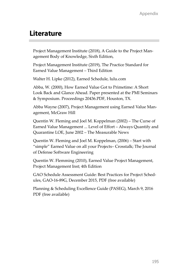# **Literature**

Project Management Institute (2018), A Guide to the Project Man‐ agement Body of Knowledge, Sixth Edition,

Project Management Institute (2019), The Practice Standard for Earned Value Management – Third Edition

Walter H. Lipke (2012), Earned Schedule, lulu.com

Abba, W. (2000), How Earned Value Got to Primetime: A Short Look Back and Glance Ahead. Paper presented at the PMI Seminars & Symposium. Proceedings 20436.PDF, Houston, TX.

Abba Wayne (2007), Project Management using Earned Value Man‐ agement, McGraw Hill

Quentin W. Fleming and Joel M. Koppelman (2002) – The Curse of Earned Value Management ... Level of Effort – Always Quantify and Quarantine LOE, June 2002 – The Measurable News

Quentin W. Fleming and Joel M. Koppelman, (2006) – Start with "simple" Earned Value on all your Projects– Crosstalk; The Journal of Defense Software Engineering

Quentin W. Flemming (2010), Earned Value Project Management, Project Management Inst; 4th Edition

GAO Schedule Assessment Guide: Best Practices for Project Sched‐ ules, GAO‐16‐89G, December 2015, PDF (free available)

Planning & Scheduling Excellence Guide (PASEG), March 9, 2016 PDF (free available)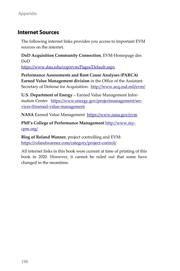### **Internet Sources**

The following internet links provides you access to important EVM sources on the internet.

**DoD Acquisition Community Connection**, EVM‐Homepage des DoD

https://www.dau.edu/cop/evm/Pages/Default.aspx

**Performance Assessments and Root Cause Analyses (PARCA) Earned Value Management division** in the Office of the Assistant Secretary of Defense for Acquisition: http://www.acq.osd.mil/evm/

**U.S. Department of Energy** – Earned Value Management Infor‐ mation Center https://www.energy.gov/projectmanagement/services‐0/earned‐value‐management

**NASA** Earned Value Management https://www.nasa.gov/evm

**PMI's College of Performance Management** http://www.my‐ cpm.org/

**Blog of Roland Wanner**, project controlling and EVM: https://rolandwanner.com/category/project-control/

All internet links in this book were current at time of printing of this book in 2020. However, it cannot be ruled out that some have changed in the meantime.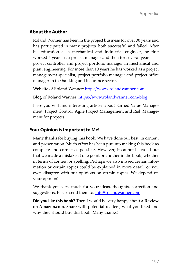### **About the Author**

Roland Wanner has been in the project business for over 30 years and has participated in many projects, both successful and failed. After his education as a mechanical and industrial engineer, he first worked 5 years as a project manager and then for several years as a project controller and project portfolio manager in mechanical and plant engineering. For more than 10 years he has worked as a project management specialist, project portfolio manager and project office manager in the banking and insurance sector.

Website of Roland Wanner: https://www.rolandwanner.com

**Blog** of Roland Wanner: https://www.rolandwanner.com/blog

Here you will find interesting articles about Earned Value Manage‐ ment, Project Control, Agile Project Management and Risk Manage‐ ment for projects.

### **Your Opinion is Important to Me!**

Many thanks for buying this book. We have done our best, in content and presentation. Much effort has been put into making this book as complete and correct as possible. However, it cannot be ruled out that we made a mistake at one point or another in the book, whether in terms of content or spelling. Perhaps we also missed certain infor‐ mation or certain topics could be explained in more detail, or you even disagree with our opinions on certain topics. We depend on your opinion!

We thank you very much for your ideas, thoughts, correction and suggestions. Please send them to: info@rolandwanner.com.

**Did you like this book?** Then I would be very happy about **a Review on Amazon.com**. Share with potential readers, what you liked and why they should buy this book. Many thanks!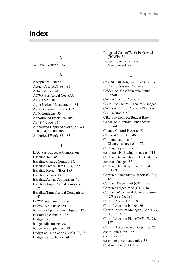# **Index**

### **3**

32 EVMS criteria **167**

### **A**

Acceptance Criteria 73 Actual Cost (AC) **98**, 185 Actual Values 44 ACWP *see* Actual Cost (AC) Agile EVM 181 Agile Project Management 181 Agile Software Projects 182 APM Guideline 33 Apportioned Effort 74, 185 AS4817-2006 33 Authorized Unpriced Work (AUW) 83, 84, 85, 88, 185 Authorized Work 86, 185

### **B**

BAC *see* Budget at Completion Baseline 82, 185 Baseline Change Control 185 Baseline Freeze Date (BFD) 185 Baseline Review (BR) 185 Baseline Values 44 Baseline/Actual Comparison 41 Baseline/Target/Actual comparison 25 Baseline/Target/Actual Comparison 43 BCWP *see* Earned Value BCWS *see* Planned Value behavior of performance figures 123 Bottom-up estimate 136 Budget 186 budget adjustments 88 budget at completion 129 Budget at Completion (BAC) 98, 186 Budget Versus Funds 89

Budgeted Cost of Work Performed (BCWP) 54 Budgeting in Earned Value Management 82

### **C**

C/SCSC 30, 166, *See* Cost/Schedule Control Systems Criteria C/SSR *see* Cost/Schedule Status Report CA *see* Control Account CAM *see* Control Account Manager CAP *see* Control Account Plan, se*e* CAP, example 80 CBB *see* Contract Budget Base CFSR *see* Contract Funds Status Report Change Control Process. 93 Clinger-Cohen Act 46 Communication and Changemanagement 177 Contingency Reserve 90 continuously flowing processes 113 Contract Budget Base (CBB) 84, 187 contract changes 83 Contract Data Requirements List (CDRL) 187 Contract Funds Status Report (CFSR) 187 Contract Target Cost (CTC) 187 Contract Target Price (CTP) 187 Contract Work Breakdown Structure (CWBS) 68, 187 Control Account 86, 187 Control Account budget 86 Control Account Manager (CAM) 79, 80, 93, 187 Control Account Plan (CAP) 78, 93, 187 Control Accounts and Budgeting **77** control measures 148 controller 20 corporate governance rules 38 Cost Account (CA) 187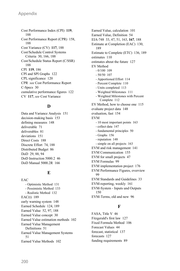Cost Performance Index (CPI) **119**, 188 Cost Performance Report (CPR) 158, 188 Cost Variance (CV) **117**, 188 Cost/Schedule Control Systems Criteria 30, 166, 188 Cost/Schedule Status Report (C/SSR) 188 CPI **119**, 186 CPI and SPI Graphs 122 CPI, significance 120 CPR *see* Cost Performance Report C-Specs 30 cumulative performance figures 122 CV **117**, *see* Cost Variance

### **D**

Data and Variance Analysis 151 decision-making basis 153 defining measures 148 deliverable 71 deliverables 81 deviations 151 Direct Costs 188 Discrete Effort 74, 188 Distributed Budget 86 DoD 29, 88, 94 DoD Instruction 5000.2 46 DoD Manual 5000.2R 166

### **E**

EAC - Optimistic Method 131 - Pessimistic Method 133 - Realistic Method 132 EAC(t) 189 early warning system 148 Earned Schedule 124, 189 Earned Value 52, 97, 188 Earned Value concept 30 Earned Value estimation methods 102 Earned Value Management Definitions 51 Earned Value Management Systems 51 Earned Value Methods 102

Earned Value, calculation 101 Earned Value, Definition 54 EIA-748 33, 47, 51, 163, **167**, 188 Estimate at Completion (EAC) 130, 189 Estimate to Complete (ETC) 136, 189 estimates 110 estimates about the future 127 EV Method  $-0/100$  109 - 50/50 107 - Apportioned Effort 114 - Percent Complete 110 - Units completed 113 - Weighted Milestones 111 - Weighted Milestones with Percent Complete 112 EV Method, how to choose one 115 evaluate project data 148 evaluation, fast 154 EVM - 10 most important points 163 - collect data 147 - fundamental principles 50 - Graphs 156 - reputation 148 - simple on all projects 163 EVM and risk management 141 EVM Communication 155 EVM for small projects 47 EVM Formulas 99 EVM implementation project 176 EVM Performance Figures, overview 99 EVM Standards and Guidelines 33 EVM-reporting, weekly 161 EVM-System - Inputs und Outputs 150 EVM-Terms, old and new 96

### **F**

FASA, Title V 46 Fitzgerald's first law 127 Fixed Formula Method 106 Forecast Values 44 forecast, statistical 137 forecasts 127 funding requirements 89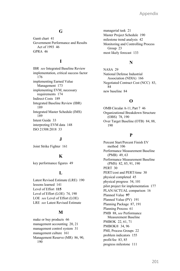### **G**

Gantt chart 41 Government Performance and Results Act of 1993 46 GPRA 46

### **I**

IBR *see* Integrated Baseline Review implementation, critical success factor 176 implementing Earned Value Management 173 implementing EVM, necessary requirements 174 Indirect Costs 189 Integrated Baseline Review (IBR) 189 Integrated Master Schedule (IMS) 189 Intent Guide 33 interpreting EVM data 148 ISO 21508:2018 33

### **J**

Joint Strike Fighter 161

### **K**

key performance figures 49

### **L**

Latest Revised Estimate (LRE) 190 lessons learned 141 Level of Effort **115** Level of Effort (LOE) 74, 190 LOE *see* Level of Effort (LOE) LRE *see* Latest Revised Estimate

### **M**

make or buy products 66 management accounting 20, 21 management control system 31 management culture 161 Management Reserve (MR) 86, 90, 190

managerial task 21 Master Project Schedule 190 milestone trend analysis 42 Monitoring and Controlling Process Group 23 most likely forecast 133

### **N**

NASA 29 National Defense Industrial Association (NDIA) 166 Negotiated Contract Cost (NCC) 83, 84 new baseline 84

### **O**

OMB Circular A-11, Part 7 46 Organizational Breakdown Structure (OBS) 78, 190 Over Target Baseline (OTB) 84, 88, 190

### **P**

Percent Start/Percent Finish EV method 106 Performance Measurement Baseline (PMB) 49, 63 Performance Measurement Baseline (PMS) 82, 85, 91, 190 PERT 30 PERT/cost and PERT/time 30 physical completed 45 physical progress 54, 101 pilot project for implementation 177 PLAN/ACTUAL comparison 16 Planned Value **97** Planned Value (PV) 191 Planning Package 87, 191 Planning Process 61 PMB 88, *see* Performance Measurement Baseline PMBOK 22, 61, 71 PMBOK® 34, 96 PMI, Process Groups 22 problem indicators 155 profit/fee 83, 85 progress milestone 111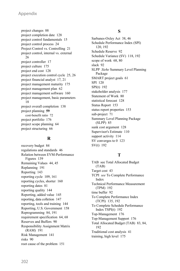project changes 88 project completion date 128 project control fundamentals 15 project control process 24 Project Control vs. Controlling 21 project control, internal vs. external 26 project controller 17 project culture 175 project end cost 128 project execution control cycle 25, 26 project financial analyst 17, 21 project management maturity 175 project management plan 62 project management software 160 project management, basic parameters 18 project overall completion 138 project planning **59** cost-benefit ratio 72 project portfolio 176 project scope planning 64 project structuring 66

### **R**

recovery budget 84 regulations and standards 46 Relation between EVM-Performance Figures 139 Remaining Values 44, 45 Replanning 191 Reporting 143 reporting cycle 109, 161 reporting cycles, shorter 160 reporting dates 81 reporting quality 144 Reporting, added value 145 reporting, data colletion 147 reporting, tools and training 144 Reporting, U.S. Government 158 Reprogramming 84, 191 requirement specification 64, 68 Reserves and Buffers 90 Responsibility Assignment Matrix (RAM) 191 Risk Management 141 risks 90 root cause of the problem 151

### **S**

Sarbanes-Oxley Act 38, 46 Schedule Performance Index (SPI) 120, 192 Schedule Reserve 92 Schedule Variance (SV) 118, 192 scope of work 68, 80 slack 92 SLPP *Siehe* Summary Level Planning Package SMART project goals 61 SPI 120 SPI(t) 192 stakeholder analysis 177 Statement of Work 80 statistical forecast 128 Status Report 153 status report properties 153 sub-project 71 Summary Level Planning Package (SLPP) 85 sunk cost argument 128 Supervisor's Estimate 110 support activity 114 SV converges to 0 123 SV(t) 192

### **T**

TAB see Total Allocated Budget (TAB) Target cost 43 TCPI *see* To Complete Performance Index Technical Performance Measurement (TPM) 192 time buffer 92 To Complete Performance Index (TCPI) 135, 192 To Complete Schedule Performance Index TSPI(t) 192 Top-Management 176 Top-Management Support 176 Total Allocated Budget (TAB) 83, 84, 192 Traditional cost analysis 41 training, high level 175